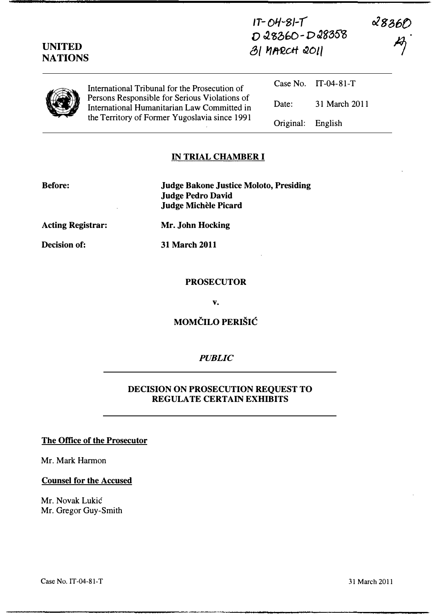| <b>UNITED</b><br><b>NATIONS</b> |                                                                                                                                               | $1T - O4 - 8I - T$<br>D28360-D28358<br>31 MARCH 2011 |                     | <b>&amp;836O</b><br>$\cancel{E}$ |
|---------------------------------|-----------------------------------------------------------------------------------------------------------------------------------------------|------------------------------------------------------|---------------------|----------------------------------|
|                                 | International Tribunal for the Prosecution of                                                                                                 |                                                      | Case No. IT-04-81-T |                                  |
|                                 | Persons Responsible for Serious Violations of<br>International Humanitarian Law Committed in<br>the Territory of Former Yugoslavia since 1991 | Date:                                                | 31 March 2011       |                                  |
|                                 |                                                                                                                                               | Original:                                            | English             |                                  |

### IN TRIAL CHAMBER I

Before: Judge Bakone Justice Moloto, Presiding Judge Pedro David Judge Michèle Picard

Acting Registrar: Mr. John Hocking

Decision of: 31 March 2011

#### PROSECUTOR

v.

## MOMČILO PERIŠIĆ

#### **PUBLIC**

### DECISION ON PROSECUTION REQUEST TO REGULATE CERTAIN EXHIBITS

#### The Office of the Prosecutor

Mr. Mark Harmon

#### Counsel for the Accused

Mr. Novak Lukic Mr. Gregor Guy-Smith

Case No. IT-04-81-T

31 March 2011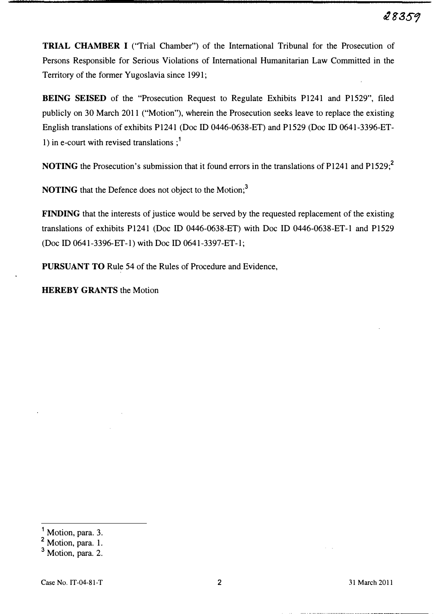TRIAL CHAMBER I (''Trial Chamber") of the International Tribunal for the Prosecution of Persons Responsible for Serious Violations of International Humanitarian Law Committed in the Territory of the former Yugoslavia since 1991;

BEING SEISED of the "Prosecution Request to Regulate Exhibits P1241 and P1529", filed publicly on 30 March 2011 ("Motion"), wherein the Prosecution seeks leave to replace the existing English translations of exhibits P1241 (Doc ID 0446-0638-ET) and P1529 (Doc ID 0641-3396-ET-1) in e-court with revised translations  $:$ <sup>1</sup>

NOTING the Prosecution's submission that it found errors in the translations of P1241 and P1529;<sup>2</sup>

NOTING that the Defence does not object to the Motion;<sup>3</sup>

FINDING that the interests of justice would be served by the requested replacement of the existing translations of exhibits P1241 (Doc ID 0446-0638-ET) with Doc ID 0446-0638-ET-I and P1529 (Doc ID 0641-3396-ET-l ) with Doc ID 0641-3397-ET-l;

PURSUANT TO Rule 54 of the Rules of Procedure and Evidence,

HEREBY GRANTS the Motion

Motion, para. 3.

<sup>&</sup>lt;sup>2</sup> Motion, para. 1.

 $3$  Motion, para. 2.